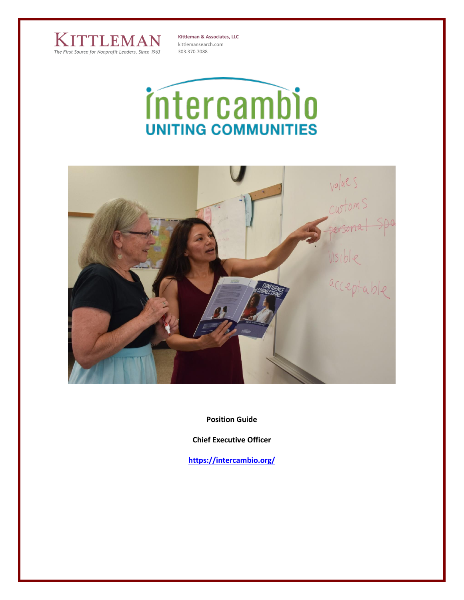

**Kittleman & Associates, LLC** kittlemansearch.com 303.370.7088





**Position Guide**

**Chief Executive Officer**

**<https://intercambio.org/>**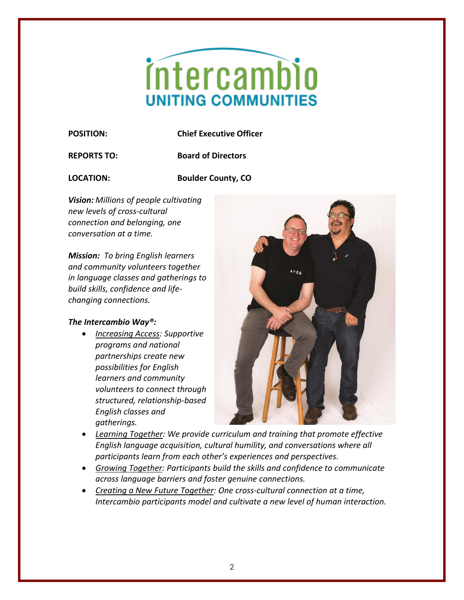# intercambio **UNITING COMMUNITIES**

**POSITION: Chief Executive Officer**

**REPORTS TO: Board of Directors**

**LOCATION: Boulder County, CO**

*Vision: Millions of people cultivating new levels of cross-cultural connection and belonging, one conversation at a time.*

*Mission:**To bring English learners and community volunteers together in language classes and gatherings to build skills, confidence and lifechanging connections.*

## *The Intercambio Way®:*

• *Increasing Access: Supportive programs and national partnerships create new possibilities for English learners and community volunteers to connect through structured, relationship-based English classes and gatherings.*



- *Learning Together: We provide curriculum and training that promote effective English language acquisition, cultural humility, and conversations where all participants learn from each other's experiences and perspectives.*
- *Growing Together: Participants build the skills and confidence to communicate across language barriers and foster genuine connections.*
- *Creating a New Future Together: One cross-cultural connection at a time, Intercambio participants model and cultivate a new level of human interaction.*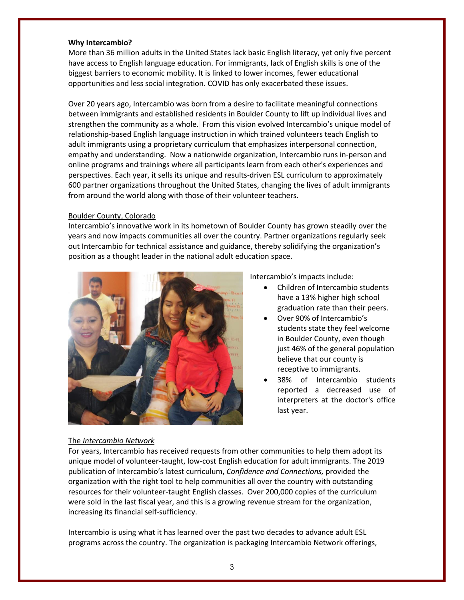## **Why Intercambio?**

More than 36 million adults in the United States lack basic English literacy, yet only five percent have access to English language education. For immigrants, lack of English skills is one of the biggest barriers to economic mobility. It is linked to lower incomes, fewer educational opportunities and less social integration. COVID has only exacerbated these issues.

Over 20 years ago, Intercambio was born from a desire to facilitate meaningful connections between immigrants and established residents in Boulder County to lift up individual lives and strengthen the community as a whole. From this vision evolved Intercambio's unique model of relationship-based English language instruction in which trained volunteers teach English to adult immigrants using a proprietary curriculum that emphasizes interpersonal connection, empathy and understanding. Now a nationwide organization, Intercambio runs in-person and online programs and trainings where all participants learn from each other's experiences and perspectives. Each year, it sells its unique and results-driven ESL curriculum to approximately 600 partner organizations throughout the United States, changing the lives of adult immigrants from around the world along with those of their volunteer teachers.

## Boulder County, Colorado

Intercambio's innovative work in its hometown of Boulder County has grown steadily over the years and now impacts communities all over the country. Partner organizations regularly seek out Intercambio for technical assistance and guidance, thereby solidifying the organization's position as a thought leader in the national adult education space.



Intercambio's impacts include:

- Children of Intercambio students have a 13% higher high school graduation rate than their peers.
- Over 90% of Intercambio's students state they feel welcome in Boulder County, even though just 46% of the general population believe that our county is receptive to immigrants.
- 38% of Intercambio students reported a decreased use of interpreters at the doctor's office last year.

#### The *Intercambio Network*

For years, Intercambio has received requests from other communities to help them adopt its unique model of volunteer-taught, low-cost English education for adult immigrants. The 2019 publication of Intercambio's latest curriculum, *Confidence and Connections,* provided the organization with the right tool to help communities all over the country with outstanding resources for their volunteer-taught English classes. Over 200,000 copies of the curriculum were sold in the last fiscal year, and this is a growing revenue stream for the organization, increasing its financial self-sufficiency.

Intercambio is using what it has learned over the past two decades to advance adult ESL programs across the country. The organization is packaging Intercambio Network offerings,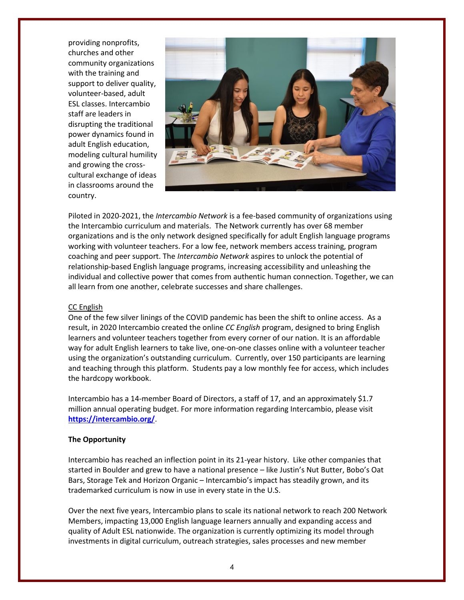providing nonprofits, churches and other community organizations with the training and support to deliver quality, volunteer-based, adult ESL classes. Intercambio staff are leaders in disrupting the traditional power dynamics found in adult English education, modeling cultural humility and growing the crosscultural exchange of ideas in classrooms around the country.



Piloted in 2020-2021, the *Intercambio Network* is a fee-based community of organizations using the Intercambio curriculum and materials. The Network currently has over 68 member organizations and is the only network designed specifically for adult English language programs working with volunteer teachers. For a low fee, network members access training, program coaching and peer support. The *Intercambio Network* aspires to unlock the potential of relationship-based English language programs, increasing accessibility and unleashing the individual and collective power that comes from authentic human connection. Together, we can all learn from one another, celebrate successes and share challenges.

## CC English

One of the few silver linings of the COVID pandemic has been the shift to online access. As a result, in 2020 Intercambio created the online *CC English* program, designed to bring English learners and volunteer teachers together from every corner of our nation. It is an affordable way for adult English learners to take live, one-on-one classes online with a volunteer teacher using the organization's outstanding curriculum. Currently, over 150 participants are learning and teaching through this platform. Students pay a low monthly fee for access, which includes the hardcopy workbook.

Intercambio has a 14-member Board of Directors, a staff of 17, and an approximately \$1.7 million annual operating budget. For more information regarding Intercambio, please visit **<https://intercambio.org/>**.

## **The Opportunity**

Intercambio has reached an inflection point in its 21-year history. Like other companies that started in Boulder and grew to have a national presence – like Justin's Nut Butter, Bobo's Oat Bars, Storage Tek and Horizon Organic – Intercambio's impact has steadily grown, and its trademarked curriculum is now in use in every state in the U.S.

Over the next five years, Intercambio plans to scale its national network to reach 200 Network Members, impacting 13,000 English language learners annually and expanding access and quality of Adult ESL nationwide. The organization is currently optimizing its model through investments in digital curriculum, outreach strategies, sales processes and new member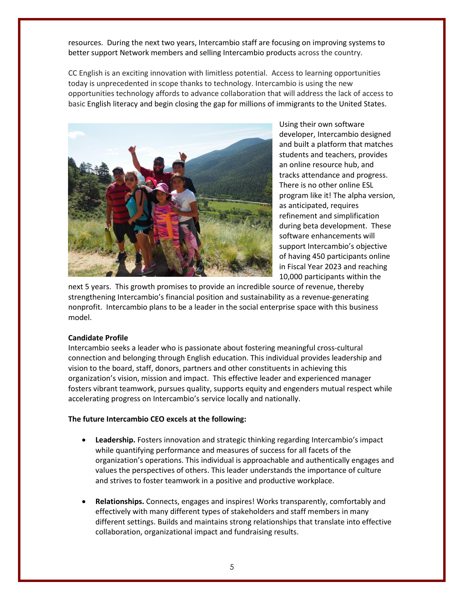resources. During the next two years, Intercambio staff are focusing on improving systems to better support Network members and selling Intercambio products across the country.

CC English is an exciting innovation with limitless potential. Access to learning opportunities today is unprecedented in scope thanks to technology. Intercambio is using the new opportunities technology affords to advance collaboration that will address the lack of access to basic English literacy and begin closing the gap for millions of immigrants to the United States.



Using their own software developer, Intercambio designed and built a platform that matches students and teachers, provides an online resource hub, and tracks attendance and progress. There is no other online ESL program like it! The alpha version, as anticipated, requires refinement and simplification during beta development. These software enhancements will support Intercambio's objective of having 450 participants online in Fiscal Year 2023 and reaching 10,000 participants within the

next 5 years. This growth promises to provide an incredible source of revenue, thereby strengthening Intercambio's financial position and sustainability as a revenue-generating nonprofit. Intercambio plans to be a leader in the social enterprise space with this business model.

## **Candidate Profile**

Intercambio seeks a leader who is passionate about fostering meaningful cross-cultural connection and belonging through English education. This individual provides leadership and vision to the board, staff, donors, partners and other constituents in achieving this organization's vision, mission and impact. This effective leader and experienced manager fosters vibrant teamwork, pursues quality, supports equity and engenders mutual respect while accelerating progress on Intercambio's service locally and nationally.

## **The future Intercambio CEO excels at the following:**

- **Leadership.** Fosters innovation and strategic thinking regarding Intercambio's impact while quantifying performance and measures of success for all facets of the organization's operations. This individual is approachable and authentically engages and values the perspectives of others. This leader understands the importance of culture and strives to foster teamwork in a positive and productive workplace.
- **Relationships.** Connects, engages and inspires! Works transparently, comfortably and effectively with many different types of stakeholders and staff members in many different settings. Builds and maintains strong relationships that translate into effective collaboration, organizational impact and fundraising results.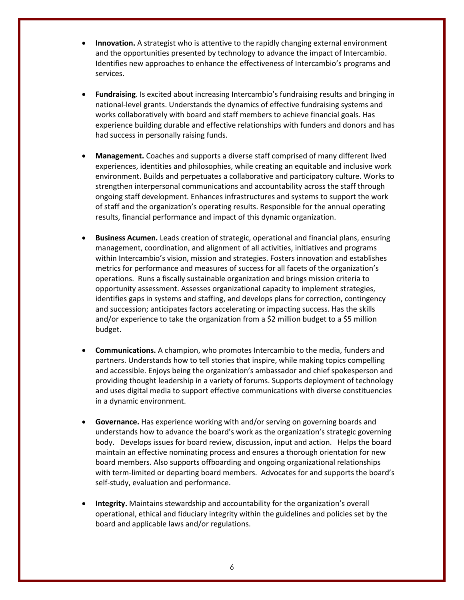- **Innovation.** A strategist who is attentive to the rapidly changing external environment and the opportunities presented by technology to advance the impact of Intercambio. Identifies new approaches to enhance the effectiveness of Intercambio's programs and services.
- **Fundraising**. Is excited about increasing Intercambio's fundraising results and bringing in national-level grants. Understands the dynamics of effective fundraising systems and works collaboratively with board and staff members to achieve financial goals. Has experience building durable and effective relationships with funders and donors and has had success in personally raising funds.
- **Management.** Coaches and supports a diverse staff comprised of many different lived experiences, identities and philosophies, while creating an equitable and inclusive work environment. Builds and perpetuates a collaborative and participatory culture. Works to strengthen interpersonal communications and accountability across the staff through ongoing staff development. Enhances infrastructures and systems to support the work of staff and the organization's operating results. Responsible for the annual operating results, financial performance and impact of this dynamic organization.
- **Business Acumen.** Leads creation of strategic, operational and financial plans, ensuring management, coordination, and alignment of all activities, initiatives and programs within Intercambio's vision, mission and strategies. Fosters innovation and establishes metrics for performance and measures of success for all facets of the organization's operations. Runs a fiscally sustainable organization and brings mission criteria to opportunity assessment. Assesses organizational capacity to implement strategies, identifies gaps in systems and staffing, and develops plans for correction, contingency and succession; anticipates factors accelerating or impacting success. Has the skills and/or experience to take the organization from a \$2 million budget to a \$5 million budget.
- **Communications.** A champion, who promotes Intercambio to the media, funders and partners. Understands how to tell stories that inspire, while making topics compelling and accessible. Enjoys being the organization's ambassador and chief spokesperson and providing thought leadership in a variety of forums. Supports deployment of technology and uses digital media to support effective communications with diverse constituencies in a dynamic environment.
- **Governance.** Has experience working with and/or serving on governing boards and understands how to advance the board's work as the organization's strategic governing body. Develops issues for board review, discussion, input and action. Helps the board maintain an effective nominating process and ensures a thorough orientation for new board members. Also supports offboarding and ongoing organizational relationships with term-limited or departing board members. Advocates for and supports the board's self-study, evaluation and performance.
- **Integrity.** Maintains stewardship and accountability for the organization's overall operational, ethical and fiduciary integrity within the guidelines and policies set by the board and applicable laws and/or regulations.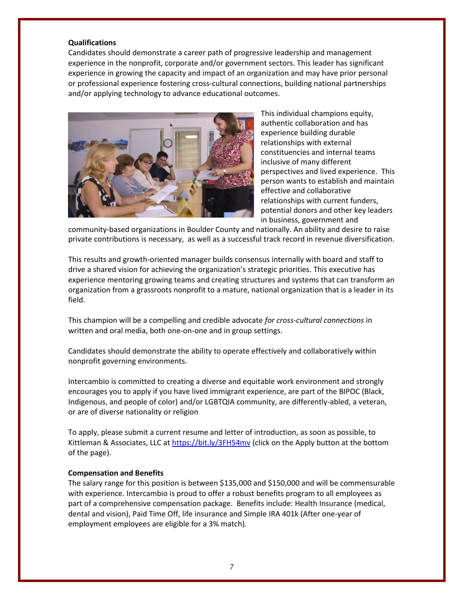#### **Qualifications**

Candidates should demonstrate a career path of progressive leadership and management experience in the nonprofit, corporate and/or government sectors. This leader has significant experience in growing the capacity and impact of an organization and may have prior personal or professional experience fostering cross-cultural connections, building national partnerships and/or applying technology to advance educational outcomes.



This individual champions equity, authentic collaboration and has experience building durable relationships with external constituencies and internal teams inclusive of many different perspectives and lived experience. This person wants to establish and maintain effective and collaborative relationships with current funders, potential donors and other key leaders in business, government and

community-based organizations in Boulder County and nationally. An ability and desire to raise private contributions is necessary, as well as a successful track record in revenue diversification.

This results and growth-oriented manager builds consensus internally with board and staff to drive a shared vision for achieving the organization's strategic priorities. This executive has experience mentoring growing teams and creating structures and systems that can transform an organization from a grassroots nonprofit to a mature, national organization that is a leader in its field.

This champion will be a compelling and credible advocate *for cross-cultural connections* in written and oral media, both one-on-one and in group settings.

Candidates should demonstrate the ability to operate effectively and collaboratively within nonprofit governing environments.

Intercambio is committed to creating a diverse and equitable work environment and strongly encourages you to apply if you have lived immigrant experience, are part of the BIPOC (Black, Indigenous, and people of color) and/or LGBTQIA community, are differently-abled, a veteran, or are of diverse nationality or religion

To apply, please submit a current resume and letter of introduction, as soon as possible, to Kittleman & Associates, LLC at <https://bit.ly/3FH54mv> (click on the Apply button at the bottom of the page).

## **Compensation and Benefits**

The salary range for this position is between \$135,000 and \$150,000 and will be commensurable with experience. Intercambio is proud to offer a robust benefits program to all employees as part of a comprehensive compensation package. Benefits include: Health Insurance (medical, dental and vision), Paid Time Off, life insurance and Simple IRA 401k (After one-year of employment employees are eligible for a 3% match).